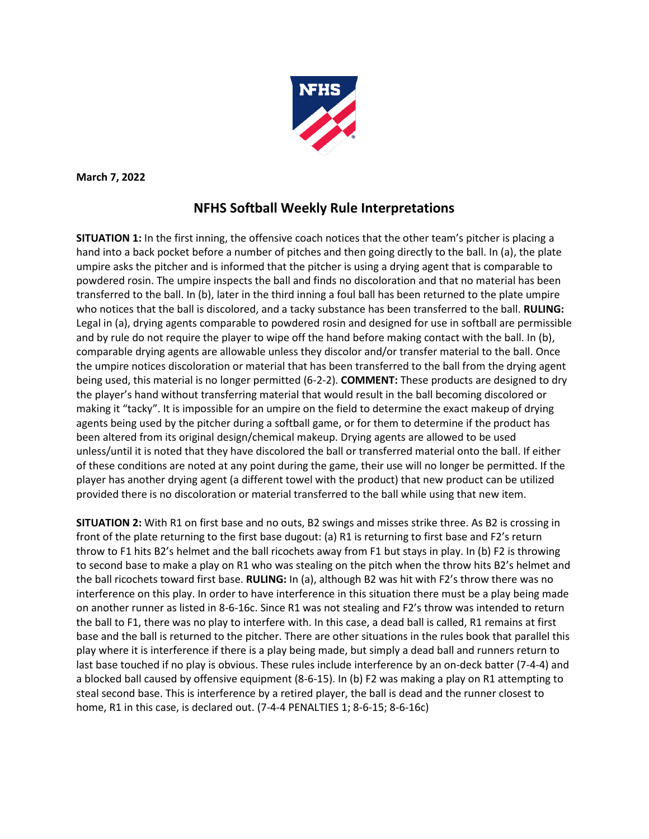

**March 7, 2022**

## **NFHS Softball Weekly Rule Interpretations**

**SITUATION 1:** In the first inning, the offensive coach notices that the other team's pitcher is placing a hand into a back pocket before a number of pitches and then going directly to the ball. In (a), the plate umpire asks the pitcher and is informed that the pitcher is using a drying agent that is comparable to powdered rosin. The umpire inspects the ball and finds no discoloration and that no material has been transferred to the ball. In (b), later in the third inning a foul ball has been returned to the plate umpire who notices that the ball is discolored, and a tacky substance has been transferred to the ball. **RULING:** Legal in (a), drying agents comparable to powdered rosin and designed for use in softball are permissible and by rule do not require the player to wipe off the hand before making contact with the ball. In (b), comparable drying agents are allowable unless they discolor and/or transfer material to the ball. Once the umpire notices discoloration or material that has been transferred to the ball from the drying agent being used, this material is no longer permitted (6-2-2). **COMMENT:** These products are designed to dry the player's hand without transferring material that would result in the ball becoming discolored or making it "tacky". It is impossible for an umpire on the field to determine the exact makeup of drying agents being used by the pitcher during a softball game, or for them to determine if the product has been altered from its original design/chemical makeup. Drying agents are allowed to be used unless/until it is noted that they have discolored the ball or transferred material onto the ball. If either of these conditions are noted at any point during the game, their use will no longer be permitted. If the player has another drying agent (a different towel with the product) that new product can be utilized provided there is no discoloration or material transferred to the ball while using that new item.

**SITUATION 2:** With R1 on first base and no outs, B2 swings and misses strike three. As B2 is crossing in front of the plate returning to the first base dugout: (a) R1 is returning to first base and F2's return throw to F1 hits B2's helmet and the ball ricochets away from F1 but stays in play. In (b) F2 is throwing to second base to make a play on R1 who was stealing on the pitch when the throw hits B2's helmet and the ball ricochets toward first base. **RULING:** In (a), although B2 was hit with F2's throw there was no interference on this play. In order to have interference in this situation there must be a play being made on another runner as listed in 8-6-16c. Since R1 was not stealing and F2's throw was intended to return the ball to F1, there was no play to interfere with. In this case, a dead ball is called, R1 remains at first base and the ball is returned to the pitcher. There are other situations in the rules book that parallel this play where it is interference if there is a play being made, but simply a dead ball and runners return to last base touched if no play is obvious. These rules include interference by an on-deck batter (7-4-4) and a blocked ball caused by offensive equipment (8-6-15). In (b) F2 was making a play on R1 attempting to steal second base. This is interference by a retired player, the ball is dead and the runner closest to home, R1 in this case, is declared out. (7-4-4 PENALTIES 1; 8-6-15; 8-6-16c)